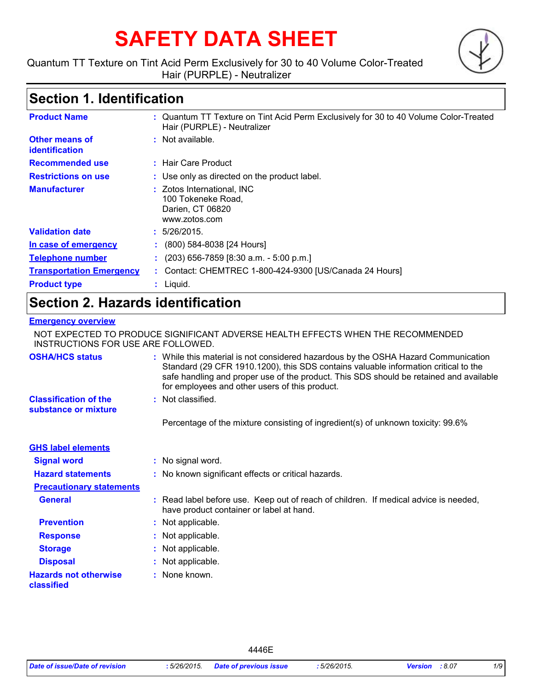# **SAFETY DATA SHEET**

Quantum TT Texture on Tint Acid Perm Exclusively for 30 to 40 Volume Color-Treated Hair (PURPLE) - Neutralizer

## **Section 1. Identification**

| <b>Product Name</b>              | : Quantum TT Texture on Tint Acid Perm Exclusively for 30 to 40 Volume Color-Treated<br>Hair (PURPLE) - Neutralizer |
|----------------------------------|---------------------------------------------------------------------------------------------------------------------|
| Other means of<br>identification | Not available.<br>÷.                                                                                                |
| <b>Recommended use</b>           | : Hair Care Product                                                                                                 |
| <b>Restrictions on use</b>       | : Use only as directed on the product label.                                                                        |
| <b>Manufacturer</b>              | Zotos International, INC<br>100 Tokeneke Road.<br>Darien, CT 06820<br>www.zotos.com                                 |
| <b>Validation date</b>           | : 5/26/2015.                                                                                                        |
| In case of emergency             | $\colon$ (800) 584-8038 [24 Hours]                                                                                  |
| <b>Telephone number</b>          | $(203)$ 656-7859 [8:30 a.m. - 5:00 p.m.]                                                                            |
| <b>Transportation Emergency</b>  | : Contact: CHEMTREC 1-800-424-9300 [US/Canada 24 Hours]                                                             |
| <b>Product type</b>              | $:$ Liquid.                                                                                                         |
|                                  |                                                                                                                     |

## **Section 2. Hazards identification**

## **Emergency overview**

NOT EXPECTED TO PRODUCE SIGNIFICANT ADVERSE HEALTH EFFECTS WHEN THE RECOMMENDED INSTRUCTIONS FOR USE ARE FOLLOWED.

| <b>OSHA/HCS status</b>                               | : While this material is not considered hazardous by the OSHA Hazard Communication<br>Standard (29 CFR 1910.1200), this SDS contains valuable information critical to the<br>safe handling and proper use of the product. This SDS should be retained and available<br>for employees and other users of this product. |
|------------------------------------------------------|-----------------------------------------------------------------------------------------------------------------------------------------------------------------------------------------------------------------------------------------------------------------------------------------------------------------------|
| <b>Classification of the</b><br>substance or mixture | : Not classified.                                                                                                                                                                                                                                                                                                     |
|                                                      | Percentage of the mixture consisting of ingredient(s) of unknown toxicity: 99.6%                                                                                                                                                                                                                                      |
| <b>GHS label elements</b>                            |                                                                                                                                                                                                                                                                                                                       |
| <b>Signal word</b>                                   | : No signal word.                                                                                                                                                                                                                                                                                                     |
| <b>Hazard statements</b>                             | : No known significant effects or critical hazards.                                                                                                                                                                                                                                                                   |
| <b>Precautionary statements</b>                      |                                                                                                                                                                                                                                                                                                                       |
| <b>General</b>                                       | : Read label before use. Keep out of reach of children. If medical advice is needed,<br>have product container or label at hand.                                                                                                                                                                                      |
| <b>Prevention</b>                                    | : Not applicable.                                                                                                                                                                                                                                                                                                     |
| <b>Response</b>                                      | : Not applicable.                                                                                                                                                                                                                                                                                                     |
| <b>Storage</b>                                       | : Not applicable.                                                                                                                                                                                                                                                                                                     |
| <b>Disposal</b>                                      | : Not applicable.                                                                                                                                                                                                                                                                                                     |
| <b>Hazards not otherwise</b><br>classified           | : None known.                                                                                                                                                                                                                                                                                                         |

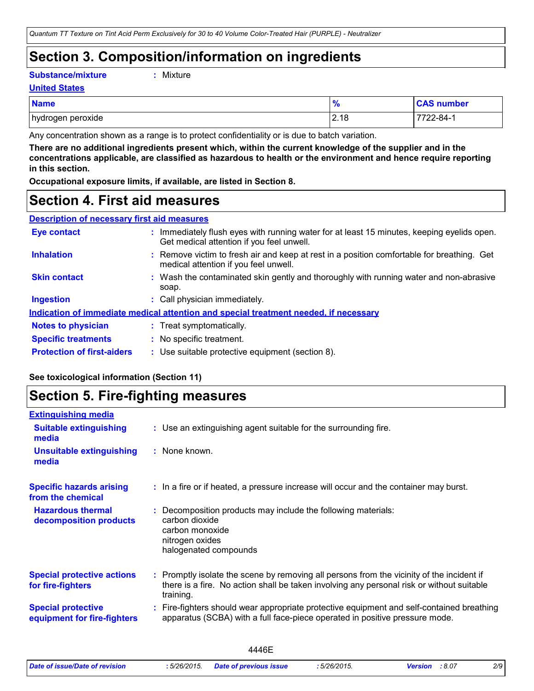## **Section 3. Composition/information on ingredients**

**Substance/mixture :**

```
: Mixture
```
**United States**

| <b>Name</b>       | 70   | <b>CAS number</b> |
|-------------------|------|-------------------|
| hydrogen peroxide | 2.18 | 7722-84-1         |

Any concentration shown as a range is to protect confidentiality or is due to batch variation.

**There are no additional ingredients present which, within the current knowledge of the supplier and in the concentrations applicable, are classified as hazardous to health or the environment and hence require reporting in this section.**

**Occupational exposure limits, if available, are listed in Section 8.**

## **Section 4. First aid measures**

| <b>Description of necessary first aid measures</b> |                                                                                                                                         |  |
|----------------------------------------------------|-----------------------------------------------------------------------------------------------------------------------------------------|--|
| <b>Eye contact</b>                                 | : Immediately flush eyes with running water for at least 15 minutes, keeping eyelids open.<br>Get medical attention if you feel unwell. |  |
| <b>Inhalation</b>                                  | : Remove victim to fresh air and keep at rest in a position comfortable for breathing. Get<br>medical attention if you feel unwell.     |  |
| <b>Skin contact</b>                                | : Wash the contaminated skin gently and thoroughly with running water and non-abrasive<br>soap.                                         |  |
| <b>Ingestion</b>                                   | : Call physician immediately.                                                                                                           |  |
|                                                    | <b>Indication of immediate medical attention and special treatment needed, if necessary</b>                                             |  |
| <b>Notes to physician</b>                          | : Treat symptomatically.                                                                                                                |  |
| <b>Specific treatments</b>                         | : No specific treatment.                                                                                                                |  |
| <b>Protection of first-aiders</b>                  | : Use suitable protective equipment (section 8).                                                                                        |  |

## **See toxicological information (Section 11)**

## **Section 5. Fire-fighting measures**

| <b>Extinguishing media</b>                               |                                                                                                                                                                                                     |
|----------------------------------------------------------|-----------------------------------------------------------------------------------------------------------------------------------------------------------------------------------------------------|
| <b>Suitable extinguishing</b><br>media                   | : Use an extinguishing agent suitable for the surrounding fire.                                                                                                                                     |
| <b>Unsuitable extinguishing</b><br>media                 | : None known.                                                                                                                                                                                       |
| <b>Specific hazards arising</b><br>from the chemical     | : In a fire or if heated, a pressure increase will occur and the container may burst.                                                                                                               |
| <b>Hazardous thermal</b><br>decomposition products       | Decomposition products may include the following materials:<br>carbon dioxide<br>carbon monoxide<br>nitrogen oxides<br>halogenated compounds                                                        |
| <b>Special protective actions</b><br>for fire-fighters   | : Promptly isolate the scene by removing all persons from the vicinity of the incident if<br>there is a fire. No action shall be taken involving any personal risk or without suitable<br>training. |
| <b>Special protective</b><br>equipment for fire-fighters | Fire-fighters should wear appropriate protective equipment and self-contained breathing<br>apparatus (SCBA) with a full face-piece operated in positive pressure mode.                              |
|                                                          |                                                                                                                                                                                                     |

|                                |              | 446F                          |           |                          |     |
|--------------------------------|--------------|-------------------------------|-----------|--------------------------|-----|
| Date of issue/Date of revision | : 5/26/2015. | <b>Date of previous issue</b> | 5/26/2015 | : 8.07<br><b>Version</b> | 2/9 |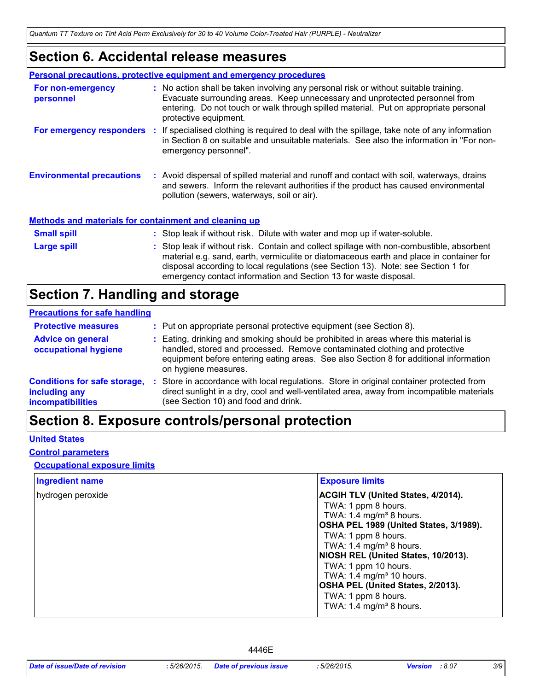## **Section 6. Accidental release measures**

|                                                              | <b>Personal precautions, protective equipment and emergency procedures</b>                                                                                                                                                                                                                                                                    |
|--------------------------------------------------------------|-----------------------------------------------------------------------------------------------------------------------------------------------------------------------------------------------------------------------------------------------------------------------------------------------------------------------------------------------|
| For non-emergency<br>personnel                               | : No action shall be taken involving any personal risk or without suitable training.<br>Evacuate surrounding areas. Keep unnecessary and unprotected personnel from<br>entering. Do not touch or walk through spilled material. Put on appropriate personal<br>protective equipment.                                                          |
|                                                              | For emergency responders : If specialised clothing is required to deal with the spillage, take note of any information<br>in Section 8 on suitable and unsuitable materials. See also the information in "For non-<br>emergency personnel".                                                                                                   |
| <b>Environmental precautions</b>                             | : Avoid dispersal of spilled material and runoff and contact with soil, waterways, drains<br>and sewers. Inform the relevant authorities if the product has caused environmental<br>pollution (sewers, waterways, soil or air).                                                                                                               |
| <b>Methods and materials for containment and cleaning up</b> |                                                                                                                                                                                                                                                                                                                                               |
| <b>Small spill</b>                                           | : Stop leak if without risk. Dilute with water and mop up if water-soluble.                                                                                                                                                                                                                                                                   |
| Large spill                                                  | : Stop leak if without risk. Contain and collect spillage with non-combustible, absorbent<br>material e.g. sand, earth, vermiculite or diatomaceous earth and place in container for<br>disposal according to local regulations (see Section 13). Note: see Section 1 for<br>emergency contact information and Section 13 for waste disposal. |

## **Section 7. Handling and storage**

### **Precautions for safe handling**

| <b>Protective measures</b>                                                | : Put on appropriate personal protective equipment (see Section 8).                                                                                                                                                                                                                |
|---------------------------------------------------------------------------|------------------------------------------------------------------------------------------------------------------------------------------------------------------------------------------------------------------------------------------------------------------------------------|
| <b>Advice on general</b><br>occupational hygiene                          | : Eating, drinking and smoking should be prohibited in areas where this material is<br>handled, stored and processed. Remove contaminated clothing and protective<br>equipment before entering eating areas. See also Section 8 for additional information<br>on hygiene measures. |
| <b>Conditions for safe storage,</b><br>including any<br>incompatibilities | Store in accordance with local regulations. Store in original container protected from<br>direct sunlight in a dry, cool and well-ventilated area, away from incompatible materials<br>(see Section 10) and food and drink.                                                        |

## **Section 8. Exposure controls/personal protection**

## **United States**

### **Control parameters**

## **Occupational exposure limits**

| <b>Ingredient name</b> | <b>Exposure limits</b>                                                                                                                                                                                                                                 |
|------------------------|--------------------------------------------------------------------------------------------------------------------------------------------------------------------------------------------------------------------------------------------------------|
| hydrogen peroxide      | <b>ACGIH TLV (United States, 4/2014).</b><br>TWA: 1 ppm 8 hours.<br>TWA: 1.4 mg/m <sup>3</sup> 8 hours.<br>OSHA PEL 1989 (United States, 3/1989).<br>TWA: 1 ppm 8 hours.<br>TWA: 1.4 mg/m <sup>3</sup> 8 hours.<br>NIOSH REL (United States, 10/2013). |
|                        | TWA: 1 ppm 10 hours.<br>TWA: 1.4 mg/m <sup>3</sup> 10 hours.<br>OSHA PEL (United States, 2/2013).<br>TWA: 1 ppm 8 hours.<br>TWA: $1.4 \text{ mg/m}^3$ 8 hours.                                                                                         |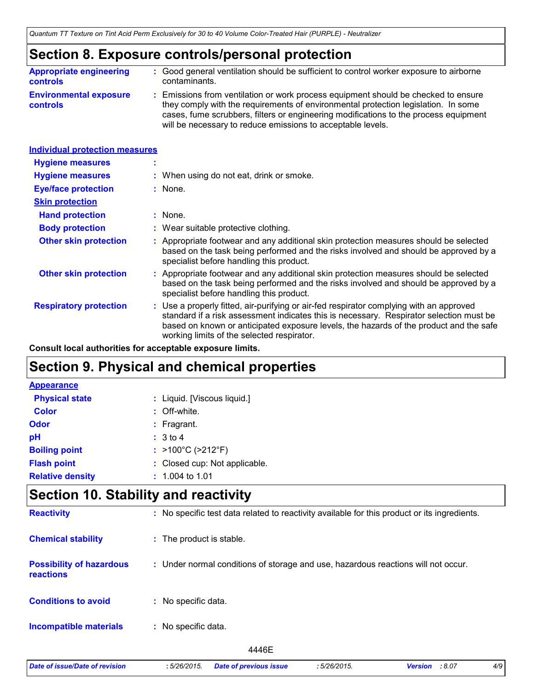## **Section 8. Exposure controls/personal protection**

| <b>Appropriate engineering</b>                   | : Good general ventilation should be sufficient to control worker exposure to airborne                                                                                                                                                                                                                                          |
|--------------------------------------------------|---------------------------------------------------------------------------------------------------------------------------------------------------------------------------------------------------------------------------------------------------------------------------------------------------------------------------------|
| <b>controls</b>                                  | contaminants.                                                                                                                                                                                                                                                                                                                   |
| <b>Environmental exposure</b><br><b>controls</b> | : Emissions from ventilation or work process equipment should be checked to ensure<br>they comply with the requirements of environmental protection legislation. In some<br>cases, fume scrubbers, filters or engineering modifications to the process equipment<br>will be necessary to reduce emissions to acceptable levels. |

| <b>Individual protection measures</b> |                                                                                                                                                                                                                                                                                                                            |
|---------------------------------------|----------------------------------------------------------------------------------------------------------------------------------------------------------------------------------------------------------------------------------------------------------------------------------------------------------------------------|
|                                       |                                                                                                                                                                                                                                                                                                                            |
|                                       | : When using do not eat, drink or smoke.                                                                                                                                                                                                                                                                                   |
|                                       | : None.                                                                                                                                                                                                                                                                                                                    |
|                                       |                                                                                                                                                                                                                                                                                                                            |
|                                       | : None.                                                                                                                                                                                                                                                                                                                    |
|                                       | : Wear suitable protective clothing.                                                                                                                                                                                                                                                                                       |
|                                       | Appropriate footwear and any additional skin protection measures should be selected<br>based on the task being performed and the risks involved and should be approved by a<br>specialist before handling this product.                                                                                                    |
|                                       | : Appropriate footwear and any additional skin protection measures should be selected<br>based on the task being performed and the risks involved and should be approved by a<br>specialist before handling this product.                                                                                                  |
|                                       | : Use a properly fitted, air-purifying or air-fed respirator complying with an approved<br>standard if a risk assessment indicates this is necessary. Respirator selection must be<br>based on known or anticipated exposure levels, the hazards of the product and the safe<br>working limits of the selected respirator. |
|                                       |                                                                                                                                                                                                                                                                                                                            |

**Consult local authorities for acceptable exposure limits.**

## **Section 9. Physical and chemical properties**

| <b>Appearance</b>       |                               |
|-------------------------|-------------------------------|
| <b>Physical state</b>   | : Liquid. [Viscous liquid.]   |
| <b>Color</b>            | : Off-white.                  |
| <b>Odor</b>             | $:$ Fragrant.                 |
| pH                      | : 3 to 4                      |
| <b>Boiling point</b>    | : >100°C (>212°F)             |
| <b>Flash point</b>      | : Closed cup: Not applicable. |
| <b>Relative density</b> | $: 1.004$ to 1.01             |

## **Section 10. Stability and reactivity**

| <b>Reactivity</b>                            | : No specific test data related to reactivity available for this product or its ingredients. |
|----------------------------------------------|----------------------------------------------------------------------------------------------|
| <b>Chemical stability</b>                    | : The product is stable.                                                                     |
| <b>Possibility of hazardous</b><br>reactions | : Under normal conditions of storage and use, hazardous reactions will not occur.            |
| <b>Conditions to avoid</b>                   | : No specific data.                                                                          |
| <b>Incompatible materials</b>                | : No specific data.                                                                          |
|                                              | 4446E                                                                                        |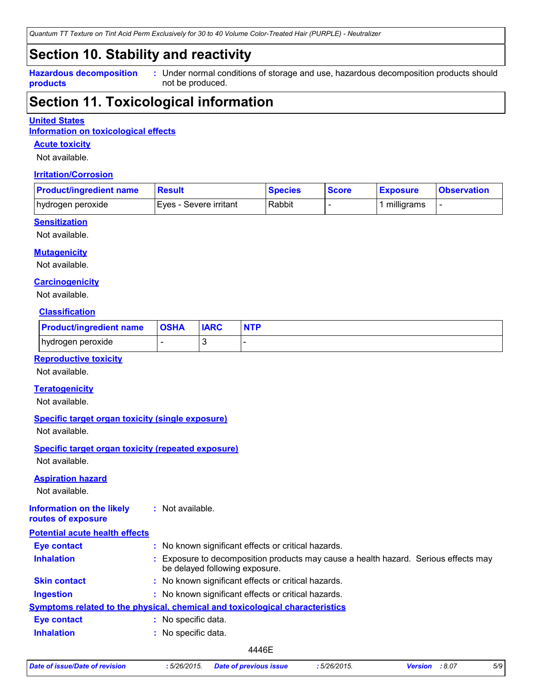## **Section 10. Stability and reactivity**

**Hazardous decomposition products**

Under normal conditions of storage and use, hazardous decomposition products should **:** not be produced.

## **Section 11. Toxicological information**

### **United States**

**Information on toxicological effects**

### **Acute toxicity**

Not available.

### **Irritation/Corrosion**

| <b>Product/ingredient name</b> | <b>Result</b>          | <b>Species</b> | <b>Score</b> | <b>Exposure</b> | ∣Observation∶ |
|--------------------------------|------------------------|----------------|--------------|-----------------|---------------|
| hydrogen peroxide              | Eyes - Severe irritant | Rabbit         |              | milligrams      |               |

## **Sensitization**

Not available.

### **Mutagenicity**

Not available.

### **Carcinogenicity**

Not available.

## **Classification**

| <b>Product/ingredient name OSHA</b> |   | <b>IARC</b> | <b>NTP</b> |
|-------------------------------------|---|-------------|------------|
| hydrogen peroxide                   | - |             |            |

### **Reproductive toxicity**

Not available.

### **Teratogenicity**

Not available.

### **Specific target organ toxicity (single exposure)**

Not available.

## **Specific target organ toxicity (repeated exposure)**

Not available.

### **Aspiration hazard**

Not available.

#### **Information on the likely routes of exposure :** Not available.

| <b>Potential acute health effects</b> |                                                                                                                     |
|---------------------------------------|---------------------------------------------------------------------------------------------------------------------|
| <b>Eye contact</b>                    | : No known significant effects or critical hazards.                                                                 |
| <b>Inhalation</b>                     | Exposure to decomposition products may cause a health hazard. Serious effects may<br>be delayed following exposure. |
| <b>Skin contact</b>                   | : No known significant effects or critical hazards.                                                                 |
| <b>Ingestion</b>                      | : No known significant effects or critical hazards.                                                                 |
|                                       | <b>Symptoms related to the physical, chemical and toxicological characteristics</b>                                 |
| <b>Eye contact</b>                    | : No specific data.                                                                                                 |
| <b>Inhalation</b>                     | No specific data.                                                                                                   |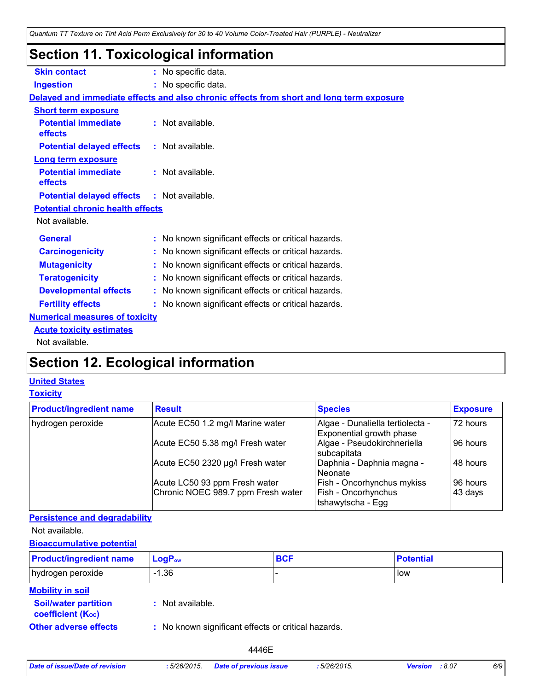## **Section 11. Toxicological information**

| <b>Skin contact</b>                               | : No specific data.                                                                      |  |  |  |  |  |
|---------------------------------------------------|------------------------------------------------------------------------------------------|--|--|--|--|--|
| <b>Ingestion</b>                                  | : No specific data.                                                                      |  |  |  |  |  |
|                                                   | Delayed and immediate effects and also chronic effects from short and long term exposure |  |  |  |  |  |
| <b>Short term exposure</b>                        |                                                                                          |  |  |  |  |  |
| <b>Potential immediate</b><br>effects             | : Not available.                                                                         |  |  |  |  |  |
| <b>Potential delayed effects</b>                  | : Not available.                                                                         |  |  |  |  |  |
| <b>Long term exposure</b>                         |                                                                                          |  |  |  |  |  |
| <b>Potential immediate</b><br>effects             | : Not available.                                                                         |  |  |  |  |  |
| <b>Potential delayed effects : Not available.</b> |                                                                                          |  |  |  |  |  |
| <b>Potential chronic health effects</b>           |                                                                                          |  |  |  |  |  |
| Not available.                                    |                                                                                          |  |  |  |  |  |
| <b>General</b>                                    | : No known significant effects or critical hazards.                                      |  |  |  |  |  |
| <b>Carcinogenicity</b>                            | : No known significant effects or critical hazards.                                      |  |  |  |  |  |
| <b>Mutagenicity</b>                               | : No known significant effects or critical hazards.                                      |  |  |  |  |  |
| <b>Teratogenicity</b>                             | : No known significant effects or critical hazards.                                      |  |  |  |  |  |
| <b>Developmental effects</b>                      | : No known significant effects or critical hazards.                                      |  |  |  |  |  |
| <b>Fertility effects</b>                          | : No known significant effects or critical hazards.                                      |  |  |  |  |  |
| <b>Numerical measures of toxicity</b>             |                                                                                          |  |  |  |  |  |
| <b>Acute toxicity estimates</b>                   |                                                                                          |  |  |  |  |  |
| Not available.                                    |                                                                                          |  |  |  |  |  |

## **Section 12. Ecological information**

## **United States**

## **Toxicity**

| <b>Product/ingredient name</b> | <b>Result</b>                      | <b>Species</b>                                               | <b>Exposure</b> |
|--------------------------------|------------------------------------|--------------------------------------------------------------|-----------------|
| hydrogen peroxide              | Acute EC50 1.2 mg/l Marine water   | Algae - Dunaliella tertiolecta -<br>Exponential growth phase | 72 hours        |
|                                | Acute EC50 5.38 mg/l Fresh water   | Algae - Pseudokirchneriella<br>subcapitata                   | 96 hours        |
|                                | Acute EC50 2320 µg/l Fresh water   | Daphnia - Daphnia magna -<br>Neonate                         | 48 hours        |
|                                | Acute LC50 93 ppm Fresh water      | Fish - Oncorhynchus mykiss                                   | 96 hours        |
|                                | Chronic NOEC 989.7 ppm Fresh water | Fish - Oncorhynchus<br>Itshawytscha - Egg                    | 43 days         |

## **Persistence and degradability**

Not available.

## **Bioaccumulative potential**

| <b>Product/ingredient name</b>                           | $LogP_{ow}$                                         | <b>BCF</b> | <b>Potential</b> |  |  |  |
|----------------------------------------------------------|-----------------------------------------------------|------------|------------------|--|--|--|
| hydrogen peroxide                                        | $-1.36$                                             |            | low              |  |  |  |
| <b>Mobility in soil</b><br><b>Soil/water partition</b>   | : Not available.                                    |            |                  |  |  |  |
| <b>coefficient (Koc)</b><br><b>Other adverse effects</b> | : No known significant effects or critical hazards. |            |                  |  |  |  |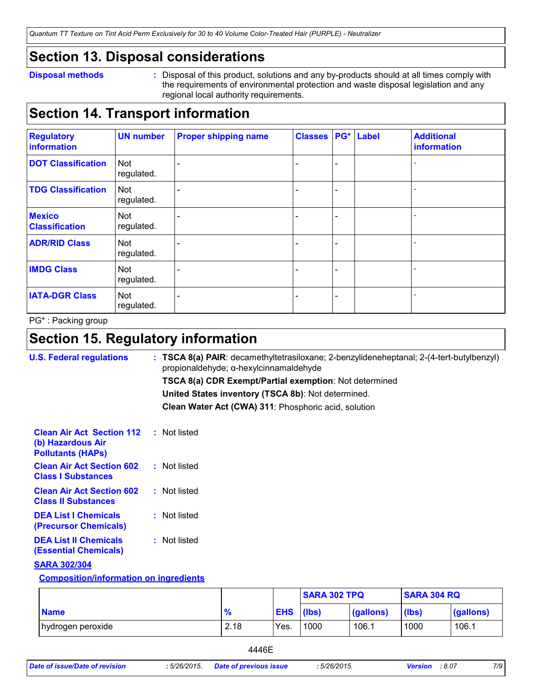## **Section 13. Disposal considerations**

### **Disposal methods :**

Disposal of this product, solutions and any by-products should at all times comply with the requirements of environmental protection and waste disposal legislation and any regional local authority requirements.

## **Section 14. Transport information**

| <b>Regulatory</b><br>information       | <b>UN number</b>         | <b>Proper shipping name</b> | <b>Classes</b> | PG*                      | Label | <b>Additional</b><br><b>information</b> |
|----------------------------------------|--------------------------|-----------------------------|----------------|--------------------------|-------|-----------------------------------------|
| <b>DOT Classification</b>              | <b>Not</b><br>regulated. |                             |                | $\overline{\phantom{0}}$ |       |                                         |
| <b>TDG Classification</b>              | <b>Not</b><br>regulated. |                             |                | -                        |       |                                         |
| <b>Mexico</b><br><b>Classification</b> | Not<br>regulated.        |                             |                | -                        |       |                                         |
| <b>ADR/RID Class</b>                   | <b>Not</b><br>regulated. |                             |                | -                        |       |                                         |
| <b>IMDG Class</b>                      | Not<br>regulated.        |                             |                | -                        |       |                                         |
| <b>IATA-DGR Class</b>                  | Not<br>regulated.        |                             |                | -                        |       |                                         |

PG\* : Packing group

## **Section 15. Regulatory information**

| <b>U.S. Federal regulations</b>                                                   | $:$ TSCA 8(a) PAIR: decamethyltetrasiloxane; 2-benzylideneheptanal; 2-(4-tert-butylbenzyl)<br>propionaldehyde; α-hexylcinnamaldehyde |
|-----------------------------------------------------------------------------------|--------------------------------------------------------------------------------------------------------------------------------------|
|                                                                                   | TSCA 8(a) CDR Exempt/Partial exemption: Not determined                                                                               |
|                                                                                   | United States inventory (TSCA 8b): Not determined.                                                                                   |
|                                                                                   | Clean Water Act (CWA) 311: Phosphoric acid, solution                                                                                 |
| <b>Clean Air Act Section 112</b><br>(b) Hazardous Air<br><b>Pollutants (HAPS)</b> | : Not listed                                                                                                                         |
| <b>Clean Air Act Section 602</b><br><b>Class I Substances</b>                     | : Not listed                                                                                                                         |
| <b>Clean Air Act Section 602</b><br><b>Class II Substances</b>                    | : Not listed                                                                                                                         |
| <b>DEA List I Chemicals</b><br>(Precursor Chemicals)                              | : Not listed                                                                                                                         |
| <b>DEA List II Chemicals</b><br><b>(Essential Chemicals)</b>                      | : Not listed                                                                                                                         |
| <b>SARA 302/304</b>                                                               |                                                                                                                                      |
| <b>Composition/information on ingredients</b>                                     |                                                                                                                                      |

|                   |               |                  | <b>SARA 302 TPQ</b> |           | <b>SARA 304 RQ</b> |           |
|-------------------|---------------|------------------|---------------------|-----------|--------------------|-----------|
| <b>Name</b>       | $\frac{9}{6}$ | <b>EHS</b> (lbs) |                     | (gallons) | (lbs)              | (gallons) |
| hydrogen peroxide | 2.18          | Yes.             | 1000                | 106.1     | 1000               | 106.1     |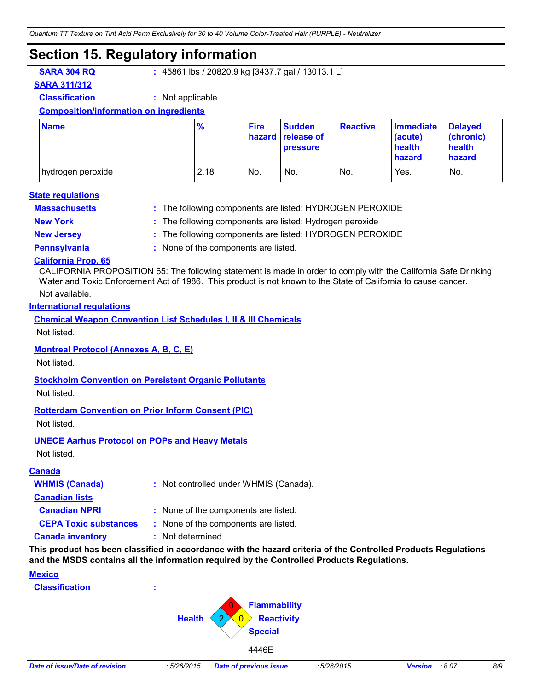## **Section 15. Regulatory information**

**SARA 304 RQ :** 45861 lbs / 20820.9 kg [3437.7 gal / 13013.1 L]

## **SARA 311/312**

**Classification :** Not applicable.

### **Composition/information on ingredients**

| <b>Name</b>         | $\frac{9}{6}$ | <b>Fire</b>     | <b>Sudden</b><br><b>hazard</b> release of<br><b>pressure</b> | <b>Reactive</b> | <b>Immediate</b><br>(acute)<br>health<br>hazard | <b>Delayed</b><br>(chronic)<br>health<br>hazard |
|---------------------|---------------|-----------------|--------------------------------------------------------------|-----------------|-------------------------------------------------|-------------------------------------------------|
| I hydrogen peroxide | 2.18          | IN <sub>o</sub> | No.                                                          | INo.            | Yes.                                            | No.                                             |

### **Massachusetts : State regulations**

The following components are listed: HYDROGEN PEROXIDE

- 
- **New York :** The following components are listed: Hydrogen peroxide
- **New Jersey :** The following components are listed: HYDROGEN PEROXIDE
- 
- **Pennsylvania :** None of the components are listed.

## **California Prop. 65**

CALIFORNIA PROPOSITION 65: The following statement is made in order to comply with the California Safe Drinking Water and Toxic Enforcement Act of 1986. This product is not known to the State of California to cause cancer.

## Not available.

### **International regulations**

**Chemical Weapon Convention List Schedules I, II & III Chemicals**

Not listed.

### **Montreal Protocol (Annexes A, B, C, E)**

Not listed.

### **Stockholm Convention on Persistent Organic Pollutants**

Not listed.

## **Rotterdam Convention on Prior Inform Consent (PIC)**

Not listed.

### **UNECE Aarhus Protocol on POPs and Heavy Metals**

Not listed.

### **Canada**

| <b>WHMIS (Canada)</b>        | : Not controlled under WHMIS (Canada). |
|------------------------------|----------------------------------------|
| <b>Canadian lists</b>        |                                        |
| <b>Canadian NPRI</b>         | : None of the components are listed.   |
| <b>CEPA Toxic substances</b> | : None of the components are listed.   |
| <b>Canada inventory</b>      | : Not determined.                      |

**This product has been classified in accordance with the hazard criteria of the Controlled Products Regulations and the MSDS contains all the information required by the Controlled Products Regulations.**

## **Mexico**

**Classification :**